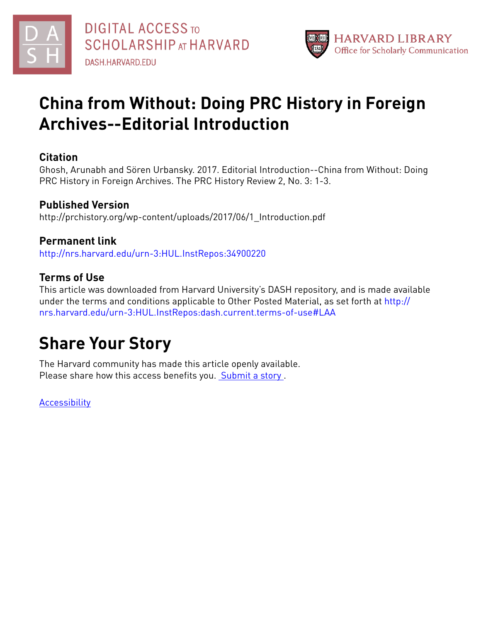



# **China from Without: Doing PRC History in Foreign Archives--Editorial Introduction**

#### **Citation**

Ghosh, Arunabh and Sören Urbansky. 2017. Editorial Introduction--China from Without: Doing PRC History in Foreign Archives. The PRC History Review 2, No. 3: 1-3.

#### **Published Version**

http://prchistory.org/wp-content/uploads/2017/06/1\_Introduction.pdf

### **Permanent link**

<http://nrs.harvard.edu/urn-3:HUL.InstRepos:34900220>

### **Terms of Use**

This article was downloaded from Harvard University's DASH repository, and is made available under the terms and conditions applicable to Other Posted Material, as set forth at [http://](http://nrs.harvard.edu/urn-3:HUL.InstRepos:dash.current.terms-of-use#LAA) [nrs.harvard.edu/urn-3:HUL.InstRepos:dash.current.terms-of-use#LAA](http://nrs.harvard.edu/urn-3:HUL.InstRepos:dash.current.terms-of-use#LAA)

# **Share Your Story**

The Harvard community has made this article openly available. Please share how this access benefits you. [Submit](http://osc.hul.harvard.edu/dash/open-access-feedback?handle=&title=China%20from%20Without:%20Doing%20PRC%20History%20in%20Foreign%20Archives--Editorial%20Introduction&community=1/1&collection=1/2&owningCollection1/2&harvardAuthors=d90d36e6dc7e8bb839c3cf42a1518368&departmentHistory) a story.

**[Accessibility](https://dash.harvard.edu/pages/accessibility)**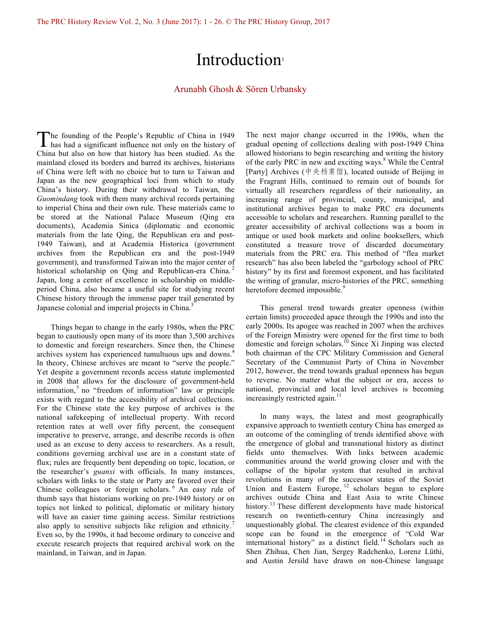## Introduction<sup>1</sup>

#### Arunabh Ghosh & Sören Urbansky

he founding of the People's Republic of China in 1949 The founding of the People's Republic of China in 1949<br>has had a significant influence not only on the history of China but also on how that history has been studied. As the mainland closed its borders and barred its archives, historians of China were left with no choice but to turn to Taiwan and Japan as the new geographical loci from which to study China's history. During their withdrawal to Taiwan, the *Guomindang* took with them many archival records pertaining to imperial China and their own rule. These materials came to be stored at the National Palace Museum (Qing era documents), Academia Sinica (diplomatic and economic materials from the late Qing, the Republican era and post-1949 Taiwan), and at Academia Historica (government archives from the Republican era and the post-1949 government), and transformed Taiwan into the major center of historical scholarship on Qing and Republican-era China.<sup>2</sup> Japan, long a center of excellence in scholarship on middleperiod China, also became a useful site for studying recent Chinese history through the immense paper trail generated by Japanese colonial and imperial projects in China.<sup>3</sup>

Things began to change in the early 1980s, when the PRC began to cautiously open many of its more than 3,500 archives to domestic and foreign researchers. Since then, the Chinese archives system has experienced tumultuous ups and downs.<sup>4</sup> In theory, Chinese archives are meant to "serve the people." Yet despite a government records access statute implemented in 2008 that allows for the disclosure of government-held information, $5$  no "freedom of information" law or principle exists with regard to the accessibility of archival collections. For the Chinese state the key purpose of archives is the national safekeeping of intellectual property. With record retention rates at well over fifty percent, the consequent imperative to preserve, arrange, and describe records is often used as an excuse to deny access to researchers. As a result, conditions governing archival use are in a constant state of flux; rules are frequently bent depending on topic, location, or the researcher's *guanxi* with officials. In many instances, scholars with links to the state or Party are favored over their Chinese colleagues or foreign scholars. <sup>6</sup> An easy rule of thumb says that historians working on pre-1949 history or on topics not linked to political, diplomatic or military history will have an easier time gaining access. Similar restrictions also apply to sensitive subjects like religion and ethnicity.<sup>7</sup> Even so, by the 1990s, it had become ordinary to conceive and execute research projects that required archival work on the mainland, in Taiwan, and in Japan.

The next major change occurred in the 1990s, when the gradual opening of collections dealing with post-1949 China allowed historians to begin researching and writing the history of the early PRC in new and exciting ways.<sup>8</sup> While the Central [Party] Archives (中央档案馆), located outside of Beijing in the Fragrant Hills, continued to remain out of bounds for virtually all researchers regardless of their nationality, an increasing range of provincial, county, municipal, and institutional archives began to make PRC era documents accessible to scholars and researchers. Running parallel to the greater accessibility of archival collections was a boom in antique or used book markets and online booksellers, which constituted a treasure trove of discarded documentary materials from the PRC era. This method of "flea market research" has also been labeled the "garbology school of PRC history" by its first and foremost exponent, and has facilitated the writing of granular, micro-histories of the PRC, something heretofore deemed impossible.<sup>9</sup>

This general trend towards greater openness (within certain limits) proceeded apace through the 1990s and into the early 2000s. Its apogee was reached in 2007 when the archives of the Foreign Ministry were opened for the first time to both domestic and foreign scholars.<sup>10</sup> Since Xi Jinping was elected both chairman of the CPC Military Commission and General Secretary of the Communist Party of China in November 2012, however, the trend towards gradual openness has begun to reverse. No matter what the subject or era, access to national, provincial and local level archives is becoming increasingly restricted again.<sup>11</sup>

In many ways, the latest and most geographically expansive approach to twentieth century China has emerged as an outcome of the comingling of trends identified above with the emergence of global and transnational history as distinct fields unto themselves. With links between academic communities around the world growing closer and with the collapse of the bipolar system that resulted in archival revolutions in many of the successor states of the Soviet Union and Eastern Europe,  $12$  scholars began to explore archives outside China and East Asia to write Chinese history.<sup>13</sup> These different developments have made historical research on twentieth-century China increasingly and unquestionably global. The clearest evidence of this expanded scope can be found in the emergence of "Cold War international history" as a distinct field. <sup>14</sup> Scholars such as Shen Zhihua, Chen Jian, Sergey Radchenko, Lorenz Lüthi, and Austin Jersild have drawn on non-Chinese language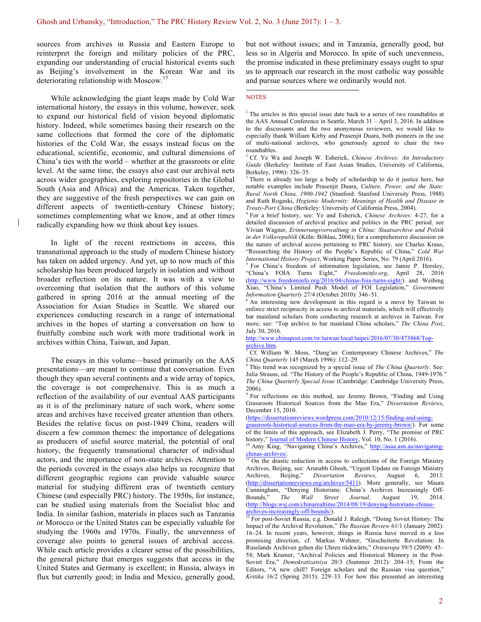sources from archives in Russia and Eastern Europe to reinterpret the foreign and military policies of the PRC, expanding our understanding of crucial historical events such as Beijing's involvement in the Korean War and its deteriorating relationship with Moscow.<sup>15</sup>

While acknowledging the giant leaps made by Cold War international history, the essays in this volume, however, seek to expand our historical field of vision beyond diplomatic history. Indeed, while sometimes basing their research on the same collections that formed the core of the diplomatic histories of the Cold War, the essays instead focus on the educational, scientific, economic, and cultural dimensions of China's ties with the world – whether at the grassroots or elite level. At the same time, the essays also cast our archival nets across wider geographies, exploring repositories in the Global South (Asia and Africa) and the Americas. Taken together, they are suggestive of the fresh perspectives we can gain on different aspects of twentieth-century Chinese history; sometimes complementing what we know, and at other times radically expanding how we think about key issues.

In light of the recent restrictions in access, this transnational approach to the study of modern Chinese history has taken on added urgency. And yet, up to now much of this scholarship has been produced largely in isolation and without broader reflection on its nature. It was with a view to overcoming that isolation that the authors of this volume gathered in spring 2016 at the annual meeting of the Association for Asian Studies in Seattle. We shared our experiences conducting research in a range of international archives in the hopes of starting a conversation on how to fruitfully combine such work with more traditional work in archives within China, Taiwan, and Japan.

The essays in this volume—based primarily on the AAS presentations—are meant to continue that conversation. Even though they span several continents and a wide array of topics, the coverage is not comprehensive. This is as much a reflection of the availability of our eventual AAS participants as it is of the preliminary nature of such work, where some areas and archives have received greater attention than others. Besides the relative focus on post-1949 China, readers will discern a few common themes: the importance of delegations as producers of useful source material, the potential of oral history, the frequently transnational character of individual actors, and the importance of non-state archives. Attention to the periods covered in the essays also helps us recognize that different geographic regions can provide valuable source material for studying different eras of twentieth century Chinese (and especially PRC) history. The 1950s, for instance, can be studied using materials from the Socialist bloc and India. In similar fashion, materials in places such as Tanzania or Morocco or the United States can be especially valuable for studying the 1960s and 1970s. Finally, the unevenness of coverage also points to general issues of archival access. While each article provides a clearer sense of the possibilities, the general picture that emerges suggests that access in the United States and Germany is excellent; in Russia, always in flux but currently good; in India and Mexico, generally good,

but not without issues; and in Tanzania, generally good, but less so in Algeria and Morocco. In spite of such unevenness, the promise indicated in these preliminary essays ought to spur us to approach our research in the most catholic way possible and pursue sources where we ordinarily would not.

#### **NOTES**

 $1$ <sup>1</sup> The articles in this special issue date back to a series of two roundtables at the AAS Annual Conference in Seattle, March 31 – April 3, 2016. In addition to the discussants and the two anonymous reviewers, we would like to especially thank William Kirby and Prasenjit Duara, both pioneers in the use of multi-national archives, who generously agreed to chair the two roundtables.

<sup>2</sup> Cf. Ye Wa and Joseph W. Esherick, *Chinese Archives: An Introductory Guide* (Berkeley: Institute of East Asian Studies, University of California, Berkeley, 1996): 326–35.

There is already too large a body of scholarship to do it justice here, but notable examples include Prasenjit Duara, *Culture, Power, and the State: Rural North China, 1900-1942* (Stanford: Stanford University Press, 1988) and Ruth Rogaski, *Hygienic Modernity: Meanings of Health and Disease in* 

<sup>4</sup> For a brief history, see: Ye and Esherick, *Chinese Archives*: 4-27; for a detailed discussion of archival practice and politics in the PRC period, see Vivian Wagner, *Erinnerungsverwaltung in China: Staatsarchive und Politik in der Volksrepublik* (Köln: Böhlau, 2006); for a comprehensive discussion on the nature of archival access pertaining to PRC history, see Charles Kraus, "Researching the History of the People's Republic of China," *Cold War International History Project*, Working Paper Series, No. 79 (April 2016).

<sup>5</sup> For China's freedom of information legislation, see Jamie P. Horsley, "China's FOIA Turns Eight," *Freedominfo.org*, April 28, 2016 (http://www.freedominfo.org/2016/04/chinas-foia-turns-eight/) and Weibing Xiao, "China's Limited Push Model of FOI Legislation," *Government Information Quarterly* 27/4 (October 2010): 346–51.

<sup>6</sup> An interesting new development in this regard is a move by Taiwan to enforce strict reciprocity in access to archival materials, which will effectively bar mainland scholars from conducting research at archives in Taiwan. For more, see: "Top archive to bar mainland China scholars," *The China Post*, July 30, 2016.

http://www.chinapost.com.tw/taiwan/local/taipei/2016/07/30/473868/Toparchive.htm.

<sup>7</sup> Cf. William W. Moss, "Dang'an: Contemporary Chinese Archives," *The China Quarterly* 145 (March 1996): 112–29.

<sup>8</sup> This trend was recognized by a special issue of *The China Quarterly*. See: Julia Strauss, ed. "The History of the People's Republic of China, 1949-1976." *The China Quarterly Special Issue* (Cambridge: Cambridge University Press, 2006).

<sup>9</sup> For reflections on this method, see Jeremy Brown, "Finding and Using Grassroots Historical Sources from the Mao Era," *Dissertation Reviews*, December 15, 2010.

(https://dissertationreviews.wordpress.com/2010/12/15/finding-and-using-

grassroots-historical-sources-from-the-mao-era-by-jeremy-brown/). For some of the limits of this approach, see Elizabeth J. Perry, "The promise of PRC history," Journal of Modern Chinese History, Vol. 10, No. 1 (2016).

<sup>10</sup> Amy King, "Navigating China's Archives," http://asaa.asn.au/navigatingchinas-archives/.

 $\frac{11}{11}$  On the drastic reduction in access to collections of the Foreign Ministry Archives, Beijing, see: Arunabh Ghosh, "Urgent Update on Foreign Ministry<br>Archives, Beijing," Dissertation Reviews, August 6, 2013. Archives, Beijing," *Dissertation Reviews*, August 6, 2013. (http://dissertationreviews.org/archives/5411). More generally, see Maura Cunningham, "Denying Historians: China's Archives Increasingly Off-<br>Bounds," The Wall Street Journal, August 19, 2014. Bounds," *The Wall Street Journal*, August 19, 2014. (http://blogs.wsj.com/chinarealtime/2014/08/19/denying-historians-chinasarchives-increasingly-off-bounds/).<br><sup>12</sup> For post-Soviet Russia, e.g. Donald J. Raleigh, "Doing Soviet History: The

Impact of the Archival Revolution," *The Russian Review* 61/1 (January 2002): 16–24. In recent years, however, things in Russia have moved in a less promising direction, cf. Markus Wehner, "Gescheiterte Revolution: In Russlands Archiven gehen die Uhren rückwärts," *Osteuropa* 59/5 (2009): 45– 58; Mark Kramer, "Archival Policies and Historical Memory in the Post-Soviet Era," *Demokratizatsiya* 20/3 (Summer 2012): 204–15; From the Editors, "A new chill? Foreign scholars and the Russian visa question," *Kritika* 16/2 (Spring 2015): 229–33. For how this presented an interesting